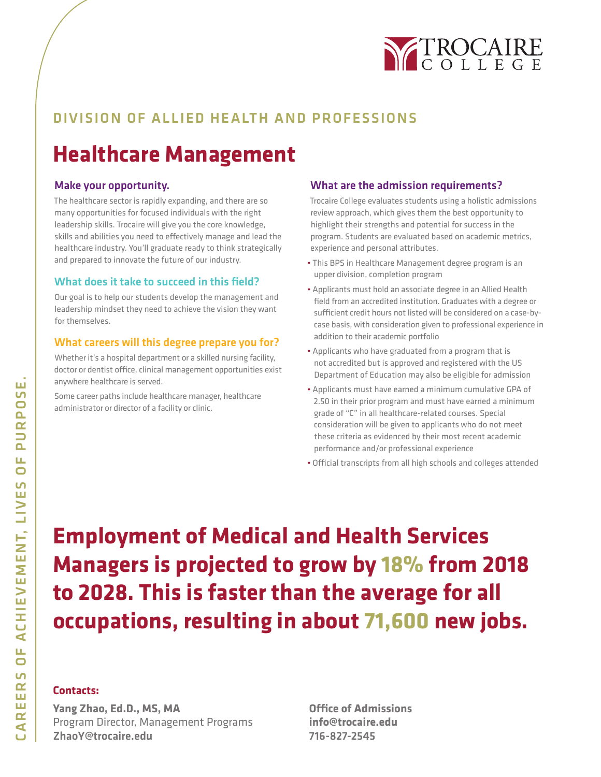

### DIVISION OF ALLIED HEALTH AND PROFESSIONS

## **Healthcare Management**

### Make your opportunity.

The healthcare sector is rapidly expanding, and there are so many opportunities for focused individuals with the right leadership skills. Trocaire will give you the core knowledge, skills and abilities you need to effectively manage and lead the healthcare industry. You'll graduate ready to think strategically and prepared to innovate the future of our industry.

### What does it take to succeed in this field?

Our goal is to help our students develop the management and leadership mindset they need to achieve the vision they want for themselves.

### What careers will this degree prepare you for?

Whether it's a hospital department or a skilled nursing facility, doctor or dentist office, clinical management opportunities exist anywhere healthcare is served.

Some career paths include healthcare manager, healthcare administrator or director of a facility or clinic.

### What are the admission requirements?

Trocaire College evaluates students using a holistic admissions review approach, which gives them the best opportunity to highlight their strengths and potential for success in the program. Students are evaluated based on academic metrics, experience and personal attributes.

- This BPS in Healthcare Management degree program is an upper division, completion program
- Applicants must hold an associate degree in an Allied Health field from an accredited institution. Graduates with a degree or sufficient credit hours not listed will be considered on a case-bycase basis, with consideration given to professional experience in addition to their academic portfolio
- Applicants who have graduated from a program that is not accredited but is approved and registered with the US Department of Education may also be eligible for admission
- Applicants must have earned a minimum cumulative GPA of 2.50 in their prior program and must have earned a minimum grade of "C" in all healthcare-related courses. Special consideration will be given to applicants who do not meet these criteria as evidenced by their most recent academic performance and/or professional experience
- Official transcripts from all high schools and colleges attended

**Employment of Medical and Health Services Managers is projected to grow by 18% from 2018 to 2028. This is faster than the average for all occupations, resulting in about 71,600 new jobs.**

### **Contacts:**

**Yang Zhao, Ed.D., MS, MA** Program Director, Management Programs ZhaoY@trocaire.edu

**Office of Admissions info@trocaire.edu** 716-827-2545